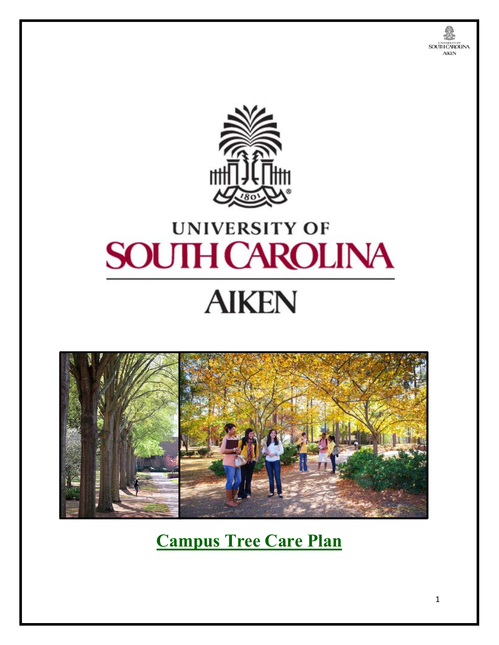



# **UNIVERSITY OF SOUTH CAROLINA**

# **AIKEN**



**Campus Tree Care Plan**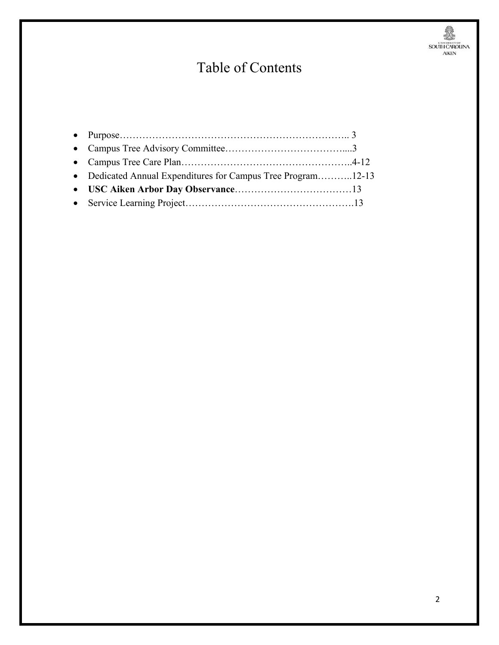# 美观

## Table of Contents

| • Dedicated Annual Expenditures for Campus Tree Program12-13 |  |
|--------------------------------------------------------------|--|
|                                                              |  |
|                                                              |  |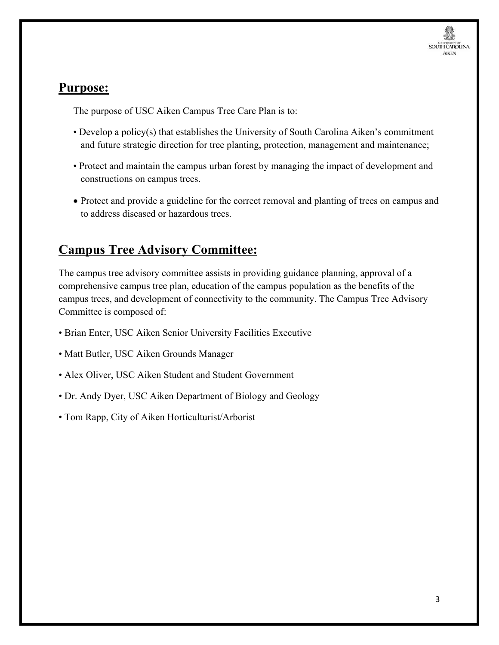

### **Purpose:**

The purpose of USC Aiken Campus Tree Care Plan is to:

- Develop a policy(s) that establishes the University of South Carolina Aiken's commitment and future strategic direction for tree planting, protection, management and maintenance;
- Protect and maintain the campus urban forest by managing the impact of development and constructions on campus trees.
- Protect and provide a guideline for the correct removal and planting of trees on campus and to address diseased or hazardous trees.

### **Campus Tree Advisory Committee:**

The campus tree advisory committee assists in providing guidance planning, approval of a comprehensive campus tree plan, education of the campus population as the benefits of the campus trees, and development of connectivity to the community. The Campus Tree Advisory Committee is composed of:

- Brian Enter, USC Aiken Senior University Facilities Executive
- Matt Butler, USC Aiken Grounds Manager
- Alex Oliver, USC Aiken Student and Student Government
- Dr. Andy Dyer, USC Aiken Department of Biology and Geology
- Tom Rapp, City of Aiken Horticulturist/Arborist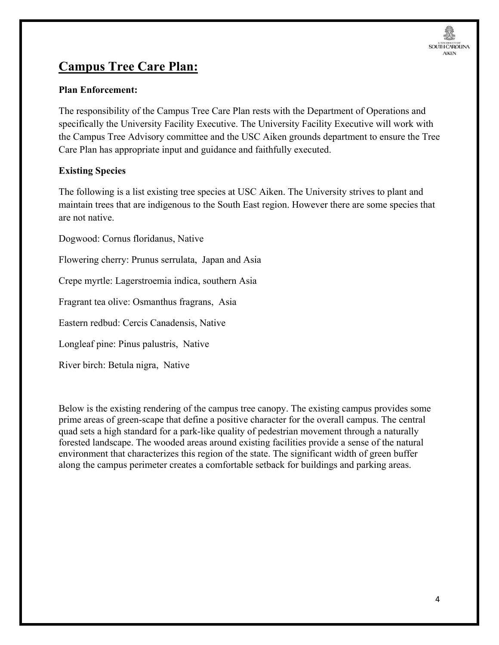### **Campus Tree Care Plan:**

#### **Plan Enforcement:**

The responsibility of the Campus Tree Care Plan rests with the Department of Operations and specifically the University Facility Executive. The University Facility Executive will work with the Campus Tree Advisory committee and the USC Aiken grounds department to ensure the Tree Care Plan has appropriate input and guidance and faithfully executed.

#### **Existing Species**

The following is a list existing tree species at USC Aiken. The University strives to plant and maintain trees that are indigenous to the South East region. However there are some species that are not native.

Dogwood: Cornus floridanus, Native

Flowering cherry: Prunus serrulata, Japan and Asia

Crepe myrtle: Lagerstroemia indica, southern Asia

Fragrant tea olive: Osmanthus fragrans, Asia

Eastern redbud: Cercis Canadensis, Native

Longleaf pine: Pinus palustris, Native

River birch: Betula nigra, Native

Below is the existing rendering of the campus tree canopy. The existing campus provides some prime areas of green-scape that define a positive character for the overall campus. The central quad sets a high standard for a park-like quality of pedestrian movement through a naturally forested landscape. The wooded areas around existing facilities provide a sense of the natural environment that characterizes this region of the state. The significant width of green buffer along the campus perimeter creates a comfortable setback for buildings and parking areas.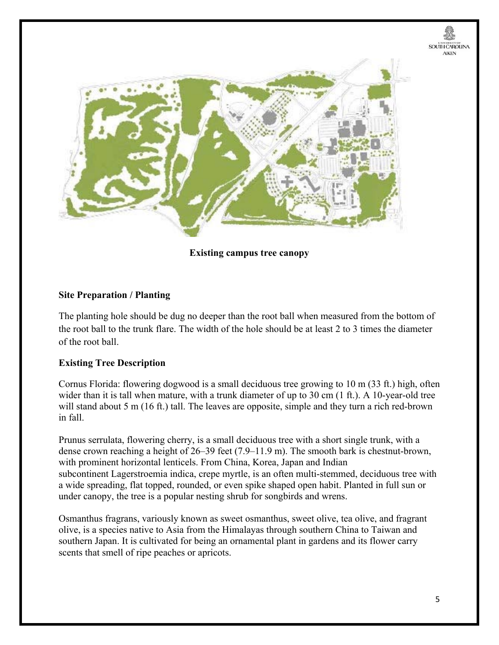

**Existing campus tree canopy** 

#### **Site Preparation / Planting**

The planting hole should be dug no deeper than the root ball when measured from the bottom of the root ball to the trunk flare. The width of the hole should be at least 2 to 3 times the diameter of the root ball.

#### **Existing Tree Description**

Cornus Florida: flowering dogwood is a small deciduous tree growing to 10 m (33 ft.) high, often wider than it is tall when mature, with a trunk diameter of up to  $30 \text{ cm}$  (1 ft.). A 10-year-old tree will stand about 5 m (16 ft.) tall. The leaves are opposite, simple and they turn a rich red-brown in fall.

Prunus serrulata, flowering cherry, is a small deciduous tree with a short single trunk, with a dense crown reaching a height of 26–39 feet (7.9–11.9 m). The smooth bark is chestnut-brown, with prominent horizontal lenticels. From China, Korea, Japan and Indian subcontinent Lagerstroemia indica, crepe myrtle, is an often multi-stemmed, deciduous tree with a wide spreading, flat topped, rounded, or even spike shaped open habit. Planted in full sun or under canopy, the tree is a popular nesting shrub for songbirds and wrens.

Osmanthus fragrans, variously known as sweet osmanthus, sweet olive, tea olive, and fragrant olive, is a species native to Asia from the Himalayas through southern China to Taiwan and southern Japan. It is cultivated for being an ornamental plant in gardens and its flower carry scents that smell of ripe peaches or apricots.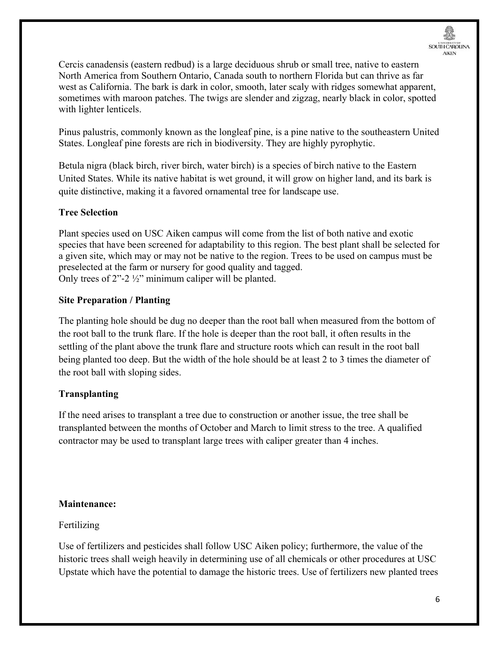Cercis canadensis (eastern redbud) is a large deciduous shrub or small tree, native to eastern North America from Southern Ontario, Canada south to northern Florida but can thrive as far west as California. The bark is dark in color, smooth, later scaly with ridges somewhat apparent, sometimes with maroon patches. The twigs are slender and zigzag, nearly black in color, spotted with lighter lenticels.

Pinus palustris, commonly known as the longleaf pine, is a pine native to the southeastern United States. Longleaf pine forests are rich in biodiversity. They are highly pyrophytic.

Betula nigra (black birch, river birch, water birch) is a species of birch native to the Eastern United States. While its native habitat is wet ground, it will grow on higher land, and its bark is quite distinctive, making it a favored ornamental tree for landscape use.

#### **Tree Selection**

Plant species used on USC Aiken campus will come from the list of both native and exotic species that have been screened for adaptability to this region. The best plant shall be selected for a given site, which may or may not be native to the region. Trees to be used on campus must be preselected at the farm or nursery for good quality and tagged. Only trees of  $2^{\prime\prime}$ -2 ½" minimum caliper will be planted.

#### **Site Preparation / Planting**

The planting hole should be dug no deeper than the root ball when measured from the bottom of the root ball to the trunk flare. If the hole is deeper than the root ball, it often results in the settling of the plant above the trunk flare and structure roots which can result in the root ball being planted too deep. But the width of the hole should be at least 2 to 3 times the diameter of the root ball with sloping sides.

#### **Transplanting**

If the need arises to transplant a tree due to construction or another issue, the tree shall be transplanted between the months of October and March to limit stress to the tree. A qualified contractor may be used to transplant large trees with caliper greater than 4 inches.

#### **Maintenance:**

#### Fertilizing

Use of fertilizers and pesticides shall follow USC Aiken policy; furthermore, the value of the historic trees shall weigh heavily in determining use of all chemicals or other procedures at USC Upstate which have the potential to damage the historic trees. Use of fertilizers new planted trees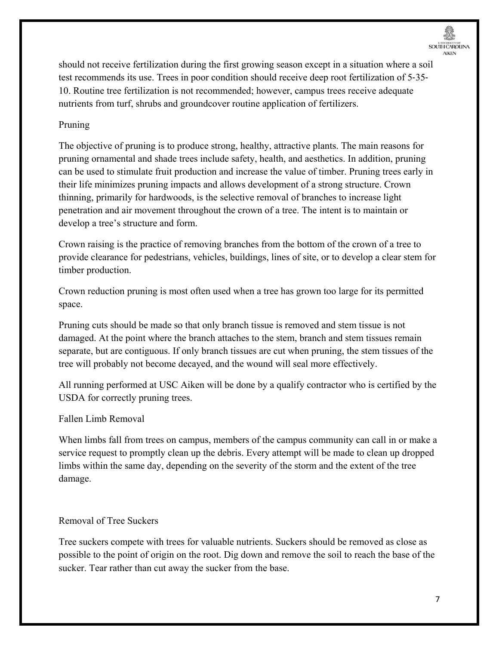should not receive fertilization during the first growing season except in a situation where a soil test recommends its use. Trees in poor condition should receive deep root fertilization of 5‐35‐ 10. Routine tree fertilization is not recommended; however, campus trees receive adequate nutrients from turf, shrubs and groundcover routine application of fertilizers.

#### Pruning

The objective of pruning is to produce strong, healthy, attractive plants. The main reasons for pruning ornamental and shade trees include safety, health, and aesthetics. In addition, pruning can be used to stimulate fruit production and increase the value of timber. Pruning trees early in their life minimizes pruning impacts and allows development of a strong structure. Crown thinning, primarily for hardwoods, is the selective removal of branches to increase light penetration and air movement throughout the crown of a tree. The intent is to maintain or develop a tree's structure and form.

Crown raising is the practice of removing branches from the bottom of the crown of a tree to provide clearance for pedestrians, vehicles, buildings, lines of site, or to develop a clear stem for timber production.

Crown reduction pruning is most often used when a tree has grown too large for its permitted space.

Pruning cuts should be made so that only branch tissue is removed and stem tissue is not damaged. At the point where the branch attaches to the stem, branch and stem tissues remain separate, but are contiguous. If only branch tissues are cut when pruning, the stem tissues of the tree will probably not become decayed, and the wound will seal more effectively.

All running performed at USC Aiken will be done by a qualify contractor who is certified by the USDA for correctly pruning trees.

#### Fallen Limb Removal

When limbs fall from trees on campus, members of the campus community can call in or make a service request to promptly clean up the debris. Every attempt will be made to clean up dropped limbs within the same day, depending on the severity of the storm and the extent of the tree damage.

#### Removal of Tree Suckers

Tree suckers compete with trees for valuable nutrients. Suckers should be removed as close as possible to the point of origin on the root. Dig down and remove the soil to reach the base of the sucker. Tear rather than cut away the sucker from the base.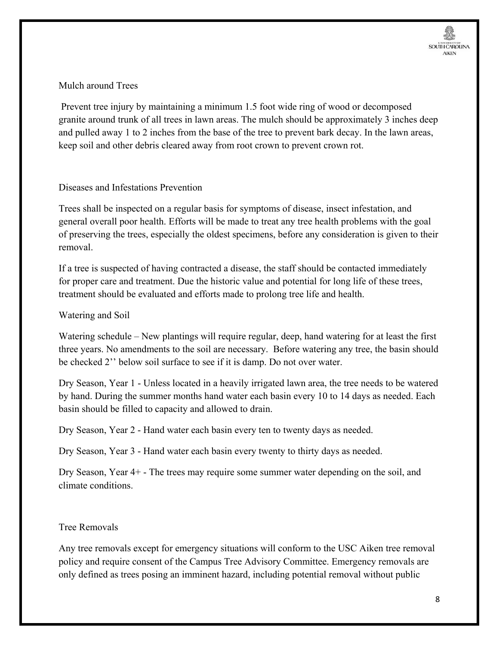#### Mulch around Trees

 Prevent tree injury by maintaining a minimum 1.5 foot wide ring of wood or decomposed granite around trunk of all trees in lawn areas. The mulch should be approximately 3 inches deep and pulled away 1 to 2 inches from the base of the tree to prevent bark decay. In the lawn areas, keep soil and other debris cleared away from root crown to prevent crown rot.

#### Diseases and Infestations Prevention

Trees shall be inspected on a regular basis for symptoms of disease, insect infestation, and general overall poor health. Efforts will be made to treat any tree health problems with the goal of preserving the trees, especially the oldest specimens, before any consideration is given to their removal.

If a tree is suspected of having contracted a disease, the staff should be contacted immediately for proper care and treatment. Due the historic value and potential for long life of these trees, treatment should be evaluated and efforts made to prolong tree life and health.

#### Watering and Soil

Watering schedule – New plantings will require regular, deep, hand watering for at least the first three years. No amendments to the soil are necessary. Before watering any tree, the basin should be checked 2'' below soil surface to see if it is damp. Do not over water.

Dry Season, Year 1 - Unless located in a heavily irrigated lawn area, the tree needs to be watered by hand. During the summer months hand water each basin every 10 to 14 days as needed. Each basin should be filled to capacity and allowed to drain.

Dry Season, Year 2 - Hand water each basin every ten to twenty days as needed.

Dry Season, Year 3 - Hand water each basin every twenty to thirty days as needed.

Dry Season, Year 4+ - The trees may require some summer water depending on the soil, and climate conditions.

#### Tree Removals

Any tree removals except for emergency situations will conform to the USC Aiken tree removal policy and require consent of the Campus Tree Advisory Committee. Emergency removals are only defined as trees posing an imminent hazard, including potential removal without public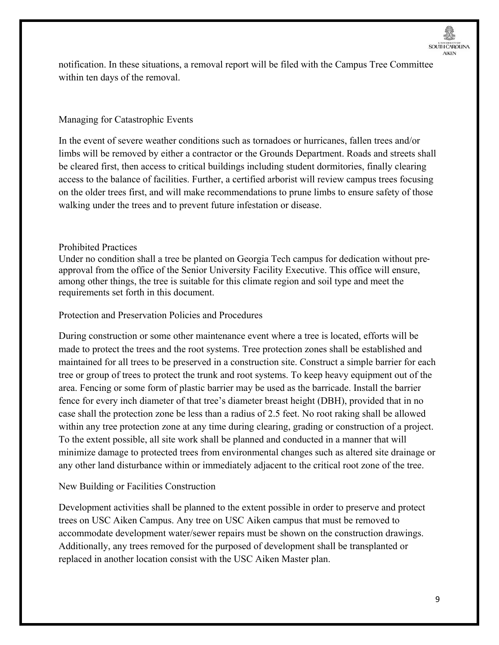notification. In these situations, a removal report will be filed with the Campus Tree Committee within ten days of the removal.

#### Managing for Catastrophic Events

In the event of severe weather conditions such as tornadoes or hurricanes, fallen trees and/or limbs will be removed by either a contractor or the Grounds Department. Roads and streets shall be cleared first, then access to critical buildings including student dormitories, finally clearing access to the balance of facilities. Further, a certified arborist will review campus trees focusing on the older trees first, and will make recommendations to prune limbs to ensure safety of those walking under the trees and to prevent future infestation or disease.

#### Prohibited Practices

Under no condition shall a tree be planted on Georgia Tech campus for dedication without pre‐ approval from the office of the Senior University Facility Executive. This office will ensure, among other things, the tree is suitable for this climate region and soil type and meet the requirements set forth in this document.

#### Protection and Preservation Policies and Procedures

During construction or some other maintenance event where a tree is located, efforts will be made to protect the trees and the root systems. Tree protection zones shall be established and maintained for all trees to be preserved in a construction site. Construct a simple barrier for each tree or group of trees to protect the trunk and root systems. To keep heavy equipment out of the area. Fencing or some form of plastic barrier may be used as the barricade. Install the barrier fence for every inch diameter of that tree's diameter breast height (DBH), provided that in no case shall the protection zone be less than a radius of 2.5 feet. No root raking shall be allowed within any tree protection zone at any time during clearing, grading or construction of a project. To the extent possible, all site work shall be planned and conducted in a manner that will minimize damage to protected trees from environmental changes such as altered site drainage or any other land disturbance within or immediately adjacent to the critical root zone of the tree.

#### New Building or Facilities Construction

Development activities shall be planned to the extent possible in order to preserve and protect trees on USC Aiken Campus. Any tree on USC Aiken campus that must be removed to accommodate development water/sewer repairs must be shown on the construction drawings. Additionally, any trees removed for the purposed of development shall be transplanted or replaced in another location consist with the USC Aiken Master plan.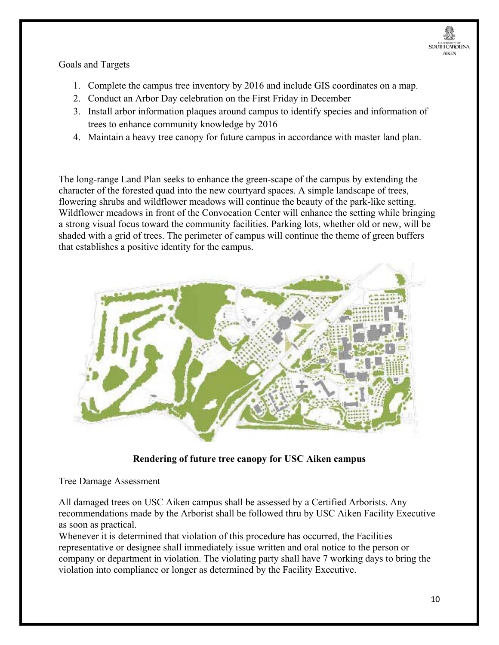

Goals and Targets

- 1. Complete the campus tree inventory by 2016 and include GIS coordinates on a map.
- 2. Conduct an Arbor Day celebration on the First Friday in December
- 3. Install arbor information plaques around campus to identify species and information of trees to enhance community knowledge by 2016
- 4. Maintain a heavy tree canopy for future campus in accordance with master land plan.

The long-range Land Plan seeks to enhance the green-scape of the campus by extending the character of the forested quad into the new courtyard spaces. A simple landscape of trees, flowering shrubs and wildflower meadows will continue the beauty of the park-like setting. Wildflower meadows in front of the Convocation Center will enhance the setting while bringing a strong visual focus toward the community facilities. Parking lots, whether old or new, will be shaded with a grid of trees. The perimeter of campus will continue the theme of green buffers that establishes a positive identity for the campus.



**Rendering of future tree canopy for USC Aiken campus** 

Tree Damage Assessment

All damaged trees on USC Aiken campus shall be assessed by a Certified Arborists. Any recommendations made by the Arborist shall be followed thru by USC Aiken Facility Executive as soon as practical.

Whenever it is determined that violation of this procedure has occurred, the Facilities representative or designee shall immediately issue written and oral notice to the person or company or department in violation. The violating party shall have 7 working days to bring the violation into compliance or longer as determined by the Facility Executive.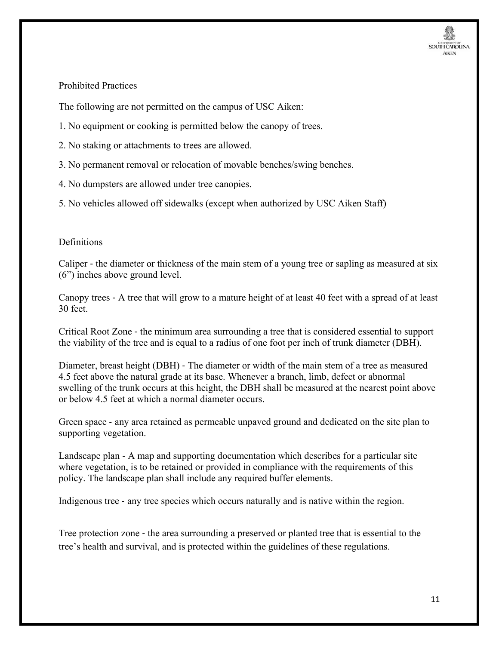

#### Prohibited Practices

The following are not permitted on the campus of USC Aiken:

- 1. No equipment or cooking is permitted below the canopy of trees.
- 2. No staking or attachments to trees are allowed.
- 3. No permanent removal or relocation of movable benches/swing benches.
- 4. No dumpsters are allowed under tree canopies.
- 5. No vehicles allowed off sidewalks (except when authorized by USC Aiken Staff)

#### **Definitions**

Caliper ‐ the diameter or thickness of the main stem of a young tree or sapling as measured at six (6") inches above ground level.

Canopy trees ‐ A tree that will grow to a mature height of at least 40 feet with a spread of at least 30 feet.

Critical Root Zone ‐ the minimum area surrounding a tree that is considered essential to support the viability of the tree and is equal to a radius of one foot per inch of trunk diameter (DBH).

Diameter, breast height (DBH) ‐ The diameter or width of the main stem of a tree as measured 4.5 feet above the natural grade at its base. Whenever a branch, limb, defect or abnormal swelling of the trunk occurs at this height, the DBH shall be measured at the nearest point above or below 4.5 feet at which a normal diameter occurs.

Green space ‐ any area retained as permeable unpaved ground and dedicated on the site plan to supporting vegetation.

Landscape plan ‐ A map and supporting documentation which describes for a particular site where vegetation, is to be retained or provided in compliance with the requirements of this policy. The landscape plan shall include any required buffer elements.

Indigenous tree ‐ any tree species which occurs naturally and is native within the region.

Tree protection zone - the area surrounding a preserved or planted tree that is essential to the tree's health and survival, and is protected within the guidelines of these regulations.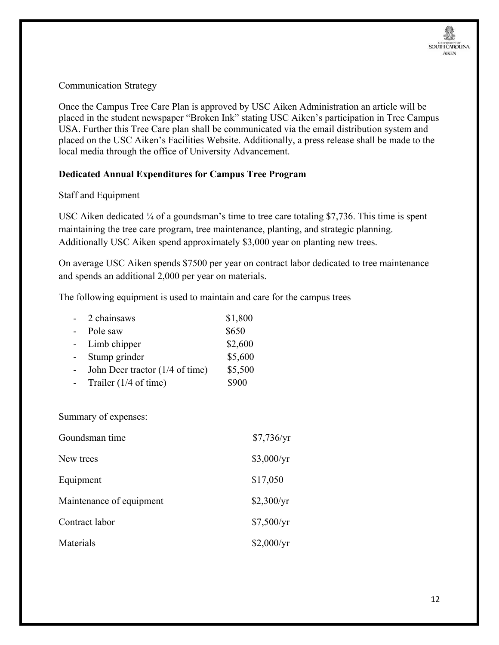Communication Strategy

Once the Campus Tree Care Plan is approved by USC Aiken Administration an article will be placed in the student newspaper "Broken Ink" stating USC Aiken's participation in Tree Campus USA. Further this Tree Care plan shall be communicated via the email distribution system and placed on the USC Aiken's Facilities Website. Additionally, a press release shall be made to the local media through the office of University Advancement.

#### **Dedicated Annual Expenditures for Campus Tree Program**

#### Staff and Equipment

USC Aiken dedicated <sup>1</sup>/<sub>4</sub> of a goundsman's time to tree care totaling \$7,736. This time is spent maintaining the tree care program, tree maintenance, planting, and strategic planning. Additionally USC Aiken spend approximately \$3,000 year on planting new trees.

On average USC Aiken spends \$7500 per year on contract labor dedicated to tree maintenance and spends an additional 2,000 per year on materials.

The following equipment is used to maintain and care for the campus trees

| $\sim$         | 2 chainsaws                     | \$1,800 |
|----------------|---------------------------------|---------|
| $\blacksquare$ | Pole saw                        | \$650   |
| $\sim$         | Limb chipper                    | \$2,600 |
|                | Stump grinder                   | \$5,600 |
|                | John Deer tractor (1/4 of time) | \$5,500 |
|                | Trailer $(1/4 \text{ of time})$ | \$900   |

Summary of expenses:

| Goundsman time           | \$7,736/yr |
|--------------------------|------------|
| New trees                | \$3,000/yr |
| Equipment                | \$17,050   |
| Maintenance of equipment | \$2,300/yr |
| Contract labor           | \$7,500/yr |
| Materials                | \$2,000/yr |